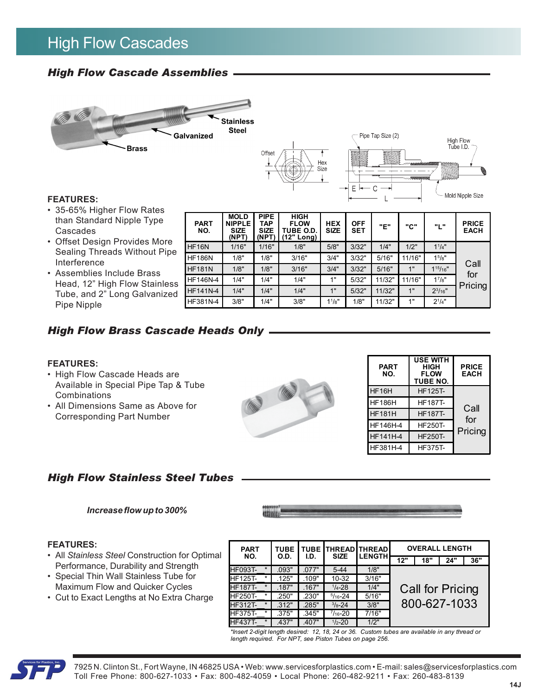# High Flow Cascades

# *High Flow Cascade Assemblies*





#### **FEATURES:**

- 35-65% Higher Flow Rates than Standard Nipple Type Cascades
- Offset Design Provides More Sealing Threads Without Pipe Interference
- Assemblies Include Brass Head, 12" High Flow Stainless Tube, and 2" Long Galvanized Pipe Nipple

| <b>PART</b><br>NO. | <b>MOLD</b><br><b>NIPPLE</b><br><b>SIZE</b><br>(NPT) | <b>PIPE</b><br>TAP<br><b>SIZE</b><br>(NPT) | <b>HIGH</b><br><b>FLOW</b><br>TUBE O.D.<br>(12" Long) | <b>HEX</b><br><b>SIZE</b> | <b>OFF</b><br><b>SET</b> | "Е"    | "C"    | "L"                | <b>PRICE</b><br><b>EACH</b> |
|--------------------|------------------------------------------------------|--------------------------------------------|-------------------------------------------------------|---------------------------|--------------------------|--------|--------|--------------------|-----------------------------|
| HF16N              | 1/16"                                                | 1/16"                                      | 1/8"                                                  | 5/8"                      | 3/32"                    | 1/4"   | 1/2"   | $1^{1}/4$ "        |                             |
| <b>HF186N</b>      | 1/8"                                                 | 1/8"                                       | 3/16"                                                 | 3/4"                      | 3/32"                    | 5/16"  | 11/16" | 1 <sup>5</sup> /8" |                             |
| <b>HF181N</b>      | 1/8"                                                 | 1/8"                                       | 3/16"                                                 | 3/4"                      | 3/32"                    | 5/16"  | 1"     | $1^{15}/16"$       | Call<br>for                 |
| <b>HF146N-4</b>    | 1/4"                                                 | 1/4"                                       | 1/4"                                                  | 1"                        | 5/32"                    | 11/32" | 11/16" | $1^{7}/8"$         |                             |
| <b>HF141N-4</b>    | 1/4"                                                 | 1/4"                                       | 1/4"                                                  | 1"                        | 5/32"                    | 11/32" | 1"     | $2^{3}/16"$        | Pricing                     |
| HF381N-4           | 3/8"                                                 | 1/4"                                       | 3/8"                                                  | $1^{1}/8"$                | 1/8"                     | 11/32" | 1"     | $2^{1}/4"$         |                             |

## *High Flow Brass Cascade Heads Only*

#### **FEATURES:**

- High Flow Cascade Heads are Available in Special Pipe Tap & Tube Combinations
- All Dimensions Same as Above for Corresponding Part Number

## *High Flow Stainless Steel Tubes*

#### *Increase flow up to 300%*

#### **FEATURES:**

- All *Stainless Steel* Construction for Optimal Performance, Durability and Strength
- Special Thin Wall Stainless Tube for Maximum Flow and Quicker Cycles
- Cut to Exact Lengths at No Extra Charge

**SHILLERS** 

| <b>PART</b><br>NO. | <b>USE WITH</b><br>HIGH<br><b>FLOW</b><br><b>TUBE NO.</b> | <b>PRICE</b><br><b>EACH</b> |
|--------------------|-----------------------------------------------------------|-----------------------------|
| HF16H              | <b>HF125T-</b>                                            |                             |
| <b>HF186H</b>      | HF187T-                                                   | Call                        |
| <b>HF181H</b>      | <b>HF187T-</b>                                            | for                         |
| HF146H-4           | <b>HF250T-</b>                                            |                             |
| <b>HF141H-4</b>    | <b>HF250T-</b>                                            | Pricing                     |
| HF381H-4           | HF375T-                                                   |                             |

| <b>PART</b>    |         | <b>TUBE</b> |       | <b>TUBE THREAD THREAD</b> |               |              | <b>OVERALL LENGTH</b> |                  |     |  |
|----------------|---------|-------------|-------|---------------------------|---------------|--------------|-----------------------|------------------|-----|--|
| NO.            |         | O.D.        | I.D.  | <b>SIZE</b>               | <b>LENGTH</b> | 12"          | 18"                   | 24"              | 36" |  |
| <b>HF093T-</b> | $\star$ | .093"       | .077" | $5 - 44$                  | 1/8"          |              |                       |                  |     |  |
| <b>HF125T-</b> | $\star$ | 125"        | .109" | $10 - 32$                 | 3/16"         |              |                       |                  |     |  |
| <b>HF187T-</b> | $\star$ | .187"       | .167" | $1/4 - 28$                | 1/4"          |              |                       | Call for Pricing |     |  |
| <b>HF250T-</b> | $\star$ | .250"       | .230" | $5/16 - 24$               | 5/16"         |              |                       |                  |     |  |
| <b>HF312T-</b> | $\star$ | .312"       | .285" | $\frac{3}{8} - 24$        | 3/8"          | 800-627-1033 |                       |                  |     |  |
| <b>HF375T-</b> | $\star$ | .375"       | .345" | $7/16 - 20$               | 7/16"         |              |                       |                  |     |  |
| <b>HF437T-</b> | $\star$ | .437"       | .407" | $1/2 - 20$                | 1/2"          |              |                       |                  |     |  |

*\*Insert 2-digit length desired: 12, 18, 24 or 36. Custom tubes are available in any thread or length required. For NPT, see Piston Tubes on page 256.*



7925 N. Clinton St., Fort Wayne, IN 46825 USA • Web: www.servicesforplastics.com • E-mail: sales@servicesforplastics.com Toll Free Phone: 800-627-1033 • Fax: 800-482-4059 • Local Phone: 260-482-9211 • Fax: 260-483-8139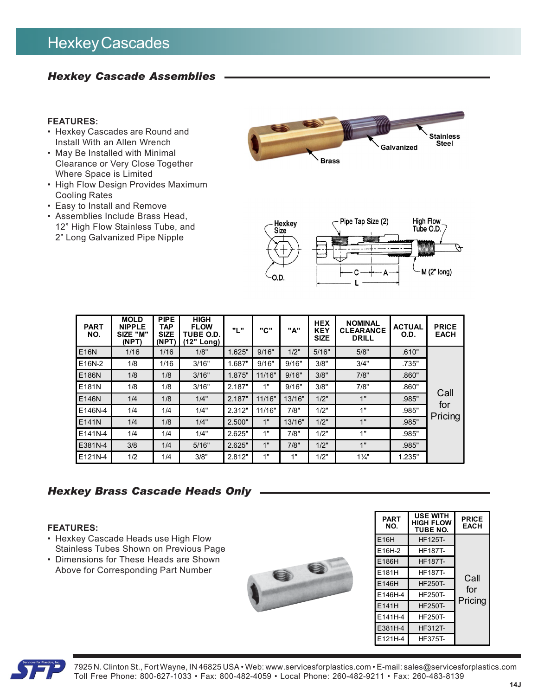# Hexkey Cascades

# *Hexkey Cascade Assemblies*

#### **FEATURES:**

- Hexkey Cascades are Round and Install With an Allen Wrench
- May Be Installed with Minimal Clearance or Very Close Together Where Space is Limited
- High Flow Design Provides Maximum Cooling Rates
- Easy to Install and Remove
- Assemblies Include Brass Head, 12" High Flow Stainless Tube, and 2" Long Galvanized Pipe Nipple





| <b>PART</b><br>NO. | <b>MOLD</b><br><b>NIPPLE</b><br>SIZE "M"<br>(NPT) | <b>PIPE</b><br><b>TAP</b><br><b>SIZE</b><br>(NPT) | <b>HIGH</b><br><b>FLOW</b><br>TUBE O.D.<br>(12" Long) | "L"    | "C"    | "A"    | <b>HEX</b><br><b>KEY</b><br><b>SIZE</b> | <b>NOMINAL</b><br><b>CLEARANCE</b><br><b>DRILL</b> | <b>ACTUAL</b><br>O.D. | <b>PRICE</b><br><b>EACH</b> |
|--------------------|---------------------------------------------------|---------------------------------------------------|-------------------------------------------------------|--------|--------|--------|-----------------------------------------|----------------------------------------------------|-----------------------|-----------------------------|
| E16N               | 1/16                                              | 1/16                                              | 1/8"                                                  | 1.625" | 9/16"  | 1/2"   | 5/16"                                   | 5/8"                                               | .610"                 |                             |
| E16N-2             | 1/8                                               | 1/16                                              | 3/16"                                                 | 1.687" | 9/16"  | 9/16"  | 3/8"                                    | 3/4"                                               | .735"                 |                             |
| E186N              | 1/8                                               | 1/8                                               | 3/16"                                                 | 1.875" | 11/16" | 9/16"  | 3/8"                                    | 7/8"                                               | .860"                 |                             |
| E181N              | 1/8                                               | 1/8                                               | 3/16"                                                 | 2.187" | 1"     | 9/16"  | 3/8"                                    | 7/8"                                               | .860"                 | Call                        |
| E146N              | 1/4                                               | 1/8                                               | 1/4"                                                  | 2.187" | 11/16" | 13/16" | 1/2"                                    | 1"                                                 | .985"                 |                             |
| E146N-4            | 1/4                                               | 1/4                                               | 1/4"                                                  | 2.312" | 11/16" | 7/8"   | 1/2"                                    | 1"                                                 | .985"                 | for                         |
| E141N              | 1/4                                               | 1/8                                               | 1/4"                                                  | 2.500" | 1"     | 13/16" | 1/2"                                    | 1"                                                 | .985"                 | Pricing                     |
| E141N-4            | 1/4                                               | 1/4                                               | 1/4"                                                  | 2.625" | 1"     | 7/8"   | 1/2"                                    | 1"                                                 | .985"                 |                             |
| E381N-4            | 3/8                                               | 1/4                                               | 5/16"                                                 | 2.625" | 1"     | 7/8"   | 1/2"                                    | 1"                                                 | .985"                 |                             |
| E121N-4            | 1/2                                               | 1/4                                               | 3/8"                                                  | 2.812" | 48     | 1"     | 1/2"                                    | $1\frac{1}{4}$                                     | 1.235"                |                             |

## *Hexkey Brass Cascade Heads Only*

#### **FEATURES:**

- Hexkey Cascade Heads use High Flow Stainless Tubes Shown on Previous Page
- Dimensions for These Heads are Shown Above for Corresponding Part Number



| <b>PART</b><br>NO. | <b>USE WITH</b><br>HIGH FLOW<br><b>TUBE NO.</b> | <b>PRICE</b><br><b>EACH</b> |
|--------------------|-------------------------------------------------|-----------------------------|
| E16H               | <b>HF125T-</b>                                  |                             |
| E16H-2             | HF187T-                                         |                             |
| E186H              | <b>HF187T-</b>                                  |                             |
| E181H              | HF187T-                                         | Call                        |
| E146H              | <b>HF250T-</b>                                  |                             |
| E146H-4            | HF250T-                                         | for                         |
| E141H              | <b>HF250T-</b>                                  | Pricing                     |
| E141H-4            | <b>HF250T-</b>                                  |                             |
| E381H-4            | HF312T-                                         |                             |
| E121H-4            | HF375T-                                         |                             |



7925 N. Clinton St., Fort Wayne, IN 46825 USA • Web: www.servicesforplastics.com • E-mail: sales@servicesforplastics.com Toll Free Phone: 800-627-1033 • Fax: 800-482-4059 • Local Phone: 260-482-9211 • Fax: 260-483-8139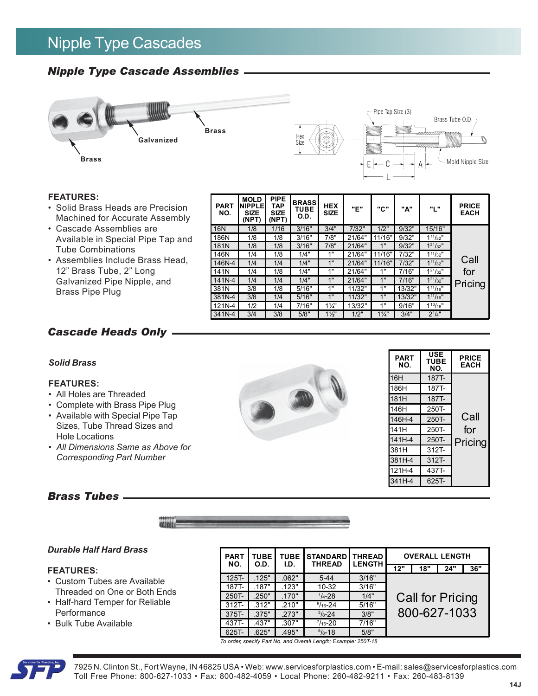# Nipple Type Cascades

# *Nipple Type Cascade Assemblies*



#### **FEATURES:**

- Solid Brass Heads are Precision Machined for Accurate Assembly
- Cascade Assemblies are Available in Special Pipe Tap and Tube Combinations
- Assemblies Include Brass Head, 12" Brass Tube, 2" Long Galvanized Pipe Nipple, and Brass Pipe Plug

| <b>PART</b><br>NO. | <b>MOLD</b><br><b>NIPPLE</b><br><b>SIZE</b><br>(NPT) | <b>PIPE</b><br>TAP<br><b>SIZE</b><br>(NPT) | <b>BRASS</b><br>TUBE<br>O.D. | <b>HEX</b><br><b>SIZE</b> | "Е"    | "С"            | "A"    | "L"              | <b>PRICE</b><br><b>EACH</b> |
|--------------------|------------------------------------------------------|--------------------------------------------|------------------------------|---------------------------|--------|----------------|--------|------------------|-----------------------------|
| <b>16N</b>         | 1/8                                                  | 1/16                                       | 3/16"                        | 3/4"                      | 7/32"  | 1/2"           | 9/32"  | 15/16"           |                             |
| 186N               | 1/8                                                  | 1/8                                        | 3/16"                        | 7/8"                      | 21/64" | 11/16"         | 9/32"  | $1^{11}/32"$     |                             |
| 181N               | 1/8                                                  | 1/8                                        | 3/16"                        | 7/8"                      | 21/64" | 1"             | 9/32"  | $1^{21}/32$ "    |                             |
| 146N               | 1/4                                                  | 1/8                                        | 1/4"                         | 1"                        | 21/64" | 11/16"         | 7/32"  | $1^{11}/_{32}$ " |                             |
| 146N-4             | 1/4                                                  | 1/4                                        | 1/4"                         | 1"                        | 21/64" | 11/16"         | 7/32"  | $1^{11}/_{32}$ " | Call                        |
| 141N               | 1/4                                                  | 1/8                                        | 1/4"                         | 4 !!                      | 21/64" | 1"             | 7/16"  | $1^{21}/32"$     | for                         |
| 141N-4             | 1/4                                                  | 1/4                                        | 1/4"                         | 1"                        | 21/64" | 1"             | 7/16"  | $1^{21}/32$ "    | Pricing                     |
| 381N               | 3/8                                                  | 1/8                                        | 5/16"                        | 1"                        | 11/32" | 1"             | 13/32" | $1^{11}/_{16}$ " |                             |
| 381N-4             | 3/8                                                  | 1/4                                        | 5/16"                        | 1"                        | 11/32" | 1"             | 13/32" | $1^{11}/16"$     |                             |
| 121N-4             | 1/2                                                  | 1/4                                        | 7/16"                        | $1\frac{1}{4}$            | 13/32" | 1"             | 9/16"  | $1^{13}/16"$     |                             |
| 341N-4             | 3/4                                                  | 3/8                                        | 5/8"                         | $1\frac{1}{2}$            | 1/2"   | $1\frac{1}{4}$ | 3/4"   | $2^{1/4"$        |                             |

**PART NO.**

16H 187T-

186H 187T-181H 187T-146H 250T-146H-4 250T-141H 250T-141H-4 250T-381H 312T-381H-4 312T-121H-4 437T-341H-4 625T-

**USE TUBE NO.**

**PRICE EACH**

**Call** for Pricing

## *Cascade Heads Only*

#### *Solid Brass*

#### **FEATURES:**

- All Holes are Threaded
- *•* Complete with Brass Pipe Plug
- Available with Special Pipe Tap Sizes, Tube Thread Sizes and Hole Locations
- *All Dimensions Same as Above for Corresponding Part Number*

### *Brass Tubes*



#### *Durable Half Hard Brass*

#### **FEATURES:**

- Custom Tubes are Available Threaded on One or Both Ends
- Half-hard Temper for Reliable **Performance**
- Bulk Tube Available

| <b>PART</b><br>NO. | <b>TUBE</b><br>O.D. | <b>TUBE</b><br>I.D. | <b>STANDARD THREAD</b><br><b>THREAD</b> | <b>LENGTH</b> |              | <b>OVERALL LENGTH</b> |     |     |  |
|--------------------|---------------------|---------------------|-----------------------------------------|---------------|--------------|-----------------------|-----|-----|--|
|                    |                     |                     |                                         |               | 12"          | 18"                   | 24" | 36" |  |
| $125T -$           | .125"               | .062"               | $5 - 44$                                | 3/16"         |              |                       |     |     |  |
| 187T-              | .187"               | .123"               | $10 - 32$                               | 3/16"         |              |                       |     |     |  |
| 250T-              | .250"               | .170"               | $1/4 - 28$                              | 1/4"          |              | Call for Pricing      |     |     |  |
| $312T -$           | .312"               | .210"               | $5/16 - 24$                             | 5/16"         |              |                       |     |     |  |
| 375T-              | .375"               | .273"               | $3/8 - 24$                              | 3/8"          | 800-627-1033 |                       |     |     |  |
| 437T-              | .437"               | .307"               | $\frac{7}{16} - 20$                     | 7/16"         |              |                       |     |     |  |
| 625T-              | .625"               | .495"               | $5/8 - 18$                              | 5/8"          |              |                       |     |     |  |

*To order, specify Part No. and Overall Length; Example: 250T-18*



7925 N. Clinton St., Fort Wayne, IN 46825 USA • Web: www.servicesforplastics.com • E-mail: sales@servicesforplastics.com Toll Free Phone: 800-627-1033 • Fax: 800-482-4059 • Local Phone: 260-482-9211 • Fax: 260-483-8139